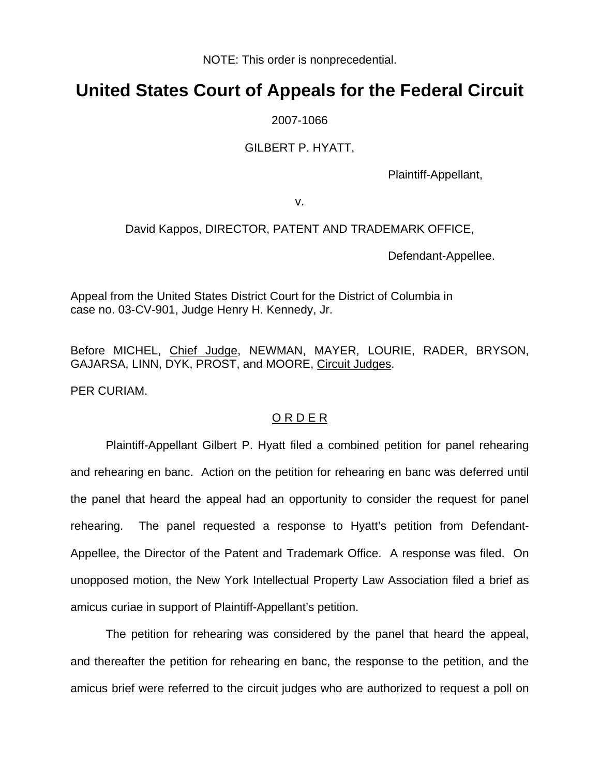NOTE: This order is nonprecedential.

## **United States Court of Appeals for the Federal Circuit**

2007-1066

## GILBERT P. HYATT,

Plaintiff-Appellant,

v.

## David Kappos, DIRECTOR, PATENT AND TRADEMARK OFFICE,

Defendant-Appellee.

Appeal from the United States District Court for the District of Columbia in case no. 03-CV-901, Judge Henry H. Kennedy, Jr.

Before MICHEL, Chief Judge, NEWMAN, MAYER, LOURIE, RADER, BRYSON, GAJARSA, LINN, DYK, PROST, and MOORE, Circuit Judges.

PER CURIAM.

## O R D E R

Plaintiff-Appellant Gilbert P. Hyatt filed a combined petition for panel rehearing and rehearing en banc. Action on the petition for rehearing en banc was deferred until the panel that heard the appeal had an opportunity to consider the request for panel rehearing. The panel requested a response to Hyatt's petition from Defendant-Appellee, the Director of the Patent and Trademark Office. A response was filed. On unopposed motion, the New York Intellectual Property Law Association filed a brief as amicus curiae in support of Plaintiff-Appellant's petition.

 The petition for rehearing was considered by the panel that heard the appeal, and thereafter the petition for rehearing en banc, the response to the petition, and the amicus brief were referred to the circuit judges who are authorized to request a poll on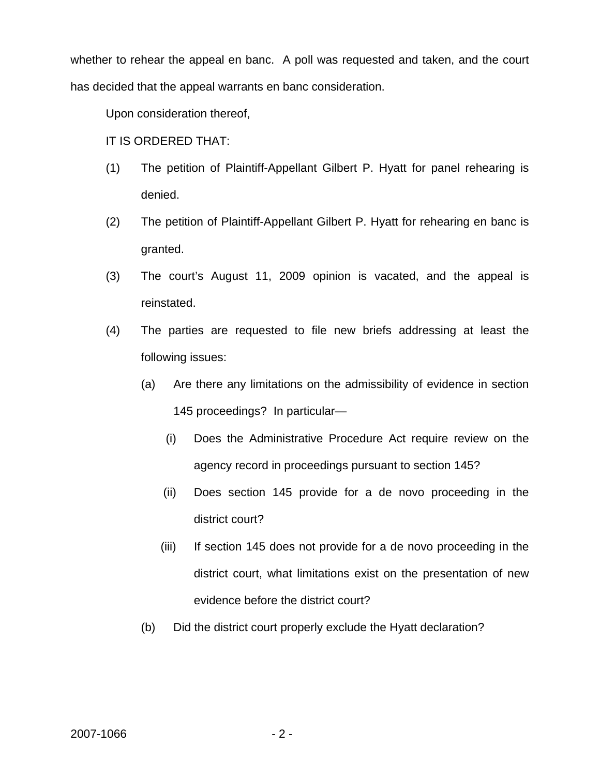whether to rehear the appeal en banc. A poll was requested and taken, and the court has decided that the appeal warrants en banc consideration.

Upon consideration thereof,

- IT IS ORDERED THAT:
- (1) The petition of Plaintiff-Appellant Gilbert P. Hyatt for panel rehearing is denied.
- (2) The petition of Plaintiff-Appellant Gilbert P. Hyatt for rehearing en banc is granted.
- (3) The court's August 11, 2009 opinion is vacated, and the appeal is reinstated.
- (4) The parties are requested to file new briefs addressing at least the following issues:
	- (a) Are there any limitations on the admissibility of evidence in section 145 proceedings? In particular—
		- (i) Does the Administrative Procedure Act require review on the agency record in proceedings pursuant to section 145?
		- (ii) Does section 145 provide for a de novo proceeding in the district court?
		- (iii) If section 145 does not provide for a de novo proceeding in the district court, what limitations exist on the presentation of new evidence before the district court?
	- (b) Did the district court properly exclude the Hyatt declaration?